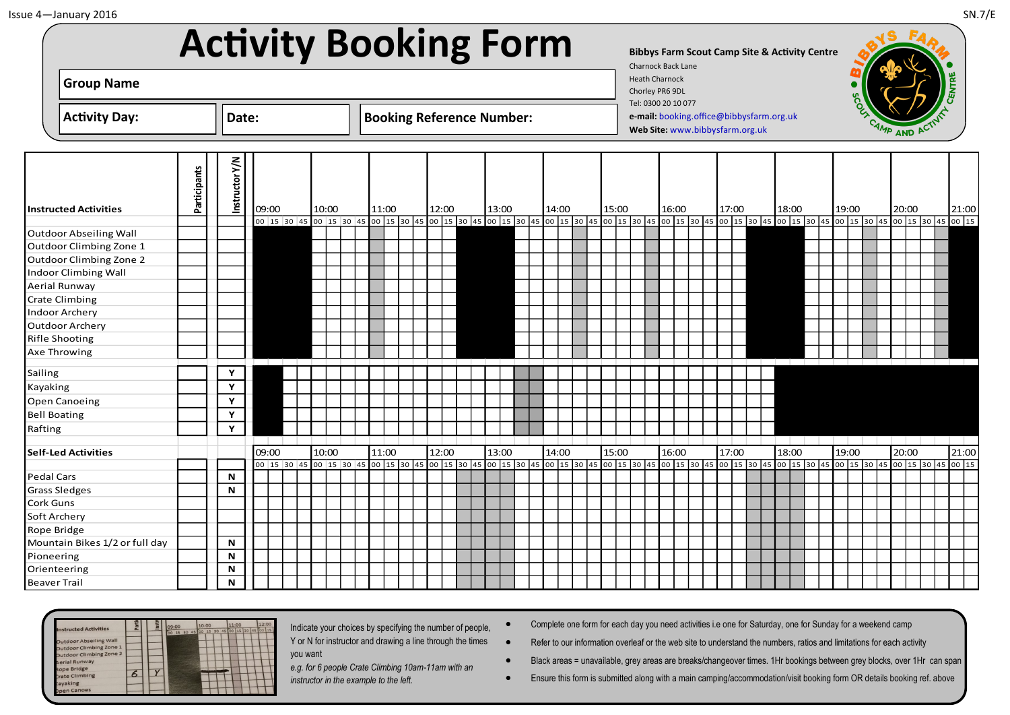|                                | <b>Activity Booking Form</b> |                |       |                                                                                                                                                                               |  |       |  |  |       |  |       |                                     |       |  |       |  |       |                       | <b>Charnock Back Lane</b> |                                                                             |       |  | <b>Bibbys Farm Scout Camp Site &amp; Activity Centre</b> |  |       |  |       |  |                                                                                                       |
|--------------------------------|------------------------------|----------------|-------|-------------------------------------------------------------------------------------------------------------------------------------------------------------------------------|--|-------|--|--|-------|--|-------|-------------------------------------|-------|--|-------|--|-------|-----------------------|---------------------------|-----------------------------------------------------------------------------|-------|--|----------------------------------------------------------|--|-------|--|-------|--|-------------------------------------------------------------------------------------------------------|
| <b>Group Name</b>              |                              |                |       |                                                                                                                                                                               |  |       |  |  |       |  |       |                                     |       |  |       |  |       | <b>Heath Charnock</b> | Chorley PR6 9DL           |                                                                             |       |  |                                                          |  |       |  |       |  |                                                                                                       |
| <b>Activity Day:</b>           |                              | Date:          |       |                                                                                                                                                                               |  |       |  |  |       |  |       | <b>Booking Reference Number:</b>    |       |  |       |  |       |                       | Tel: 0300 20 10 077       | e-mail: booking.office@bibbysfarm.org.uk<br>Web Site: www.bibbysfarm.org.uk |       |  |                                                          |  |       |  |       |  |                                                                                                       |
| <b>Instructed Activities</b>   | Participants                 | Instructor Y/N | 09:00 |                                                                                                                                                                               |  | 10:00 |  |  | 11:00 |  | 12:00 |                                     | 13:00 |  | 14:00 |  | 15:00 |                       | 16:00                     |                                                                             | 17:00 |  | 18:00                                                    |  | 19:00 |  | 20:00 |  | 21:00                                                                                                 |
|                                |                              |                |       | 00 15 30 45 00 15 30 45 00 15 30 45 00 15 30 45 00 15 30 45 00 15 30 45 00 15 30 45 00 15 30 45 00 15 30 45 00 15 30 45 00 15 30 45 00 15 30 45 00 15 30 45 00 15 30 45 00 15 |  |       |  |  |       |  |       |                                     |       |  |       |  |       |                       |                           |                                                                             |       |  |                                                          |  |       |  |       |  |                                                                                                       |
| Outdoor Abseiling Wall         |                              |                |       |                                                                                                                                                                               |  |       |  |  |       |  |       |                                     |       |  |       |  |       |                       |                           |                                                                             |       |  |                                                          |  |       |  |       |  |                                                                                                       |
| Outdoor Climbing Zone 1        |                              |                |       |                                                                                                                                                                               |  |       |  |  |       |  |       |                                     |       |  |       |  |       |                       |                           |                                                                             |       |  |                                                          |  |       |  |       |  |                                                                                                       |
| Outdoor Climbing Zone 2        |                              |                |       |                                                                                                                                                                               |  |       |  |  |       |  |       |                                     |       |  |       |  |       |                       |                           |                                                                             |       |  |                                                          |  |       |  |       |  |                                                                                                       |
| Indoor Climbing Wall           |                              |                |       |                                                                                                                                                                               |  |       |  |  |       |  |       |                                     |       |  |       |  |       |                       |                           |                                                                             |       |  |                                                          |  |       |  |       |  |                                                                                                       |
| Aerial Runway                  |                              |                |       |                                                                                                                                                                               |  |       |  |  |       |  |       |                                     |       |  |       |  |       |                       |                           |                                                                             |       |  |                                                          |  |       |  |       |  |                                                                                                       |
| Crate Climbing                 |                              |                |       |                                                                                                                                                                               |  |       |  |  |       |  |       |                                     |       |  |       |  |       |                       |                           |                                                                             |       |  |                                                          |  |       |  |       |  |                                                                                                       |
| Indoor Archery                 |                              |                |       |                                                                                                                                                                               |  |       |  |  |       |  |       |                                     |       |  |       |  |       |                       |                           |                                                                             |       |  |                                                          |  |       |  |       |  |                                                                                                       |
| Outdoor Archery                |                              |                |       |                                                                                                                                                                               |  |       |  |  |       |  |       |                                     |       |  |       |  |       |                       |                           |                                                                             |       |  |                                                          |  |       |  |       |  |                                                                                                       |
| Rifle Shooting                 |                              |                |       |                                                                                                                                                                               |  |       |  |  |       |  |       |                                     |       |  |       |  |       |                       |                           |                                                                             |       |  |                                                          |  |       |  |       |  |                                                                                                       |
| Axe Throwing                   |                              |                |       |                                                                                                                                                                               |  |       |  |  |       |  |       |                                     |       |  |       |  |       |                       |                           |                                                                             |       |  |                                                          |  |       |  |       |  |                                                                                                       |
| Sailing                        |                              | Υ              |       |                                                                                                                                                                               |  |       |  |  |       |  |       |                                     |       |  |       |  |       |                       |                           |                                                                             |       |  |                                                          |  |       |  |       |  |                                                                                                       |
| Kayaking                       |                              | Y              |       |                                                                                                                                                                               |  |       |  |  |       |  |       |                                     |       |  |       |  |       |                       |                           |                                                                             |       |  |                                                          |  |       |  |       |  |                                                                                                       |
| Open Canoeing                  |                              | Y              |       |                                                                                                                                                                               |  |       |  |  |       |  |       |                                     |       |  |       |  |       |                       |                           |                                                                             |       |  |                                                          |  |       |  |       |  |                                                                                                       |
| <b>Bell Boating</b>            |                              | Y              |       |                                                                                                                                                                               |  |       |  |  |       |  |       |                                     |       |  |       |  |       |                       |                           |                                                                             |       |  |                                                          |  |       |  |       |  |                                                                                                       |
| Rafting                        |                              | Y              |       |                                                                                                                                                                               |  |       |  |  |       |  |       |                                     |       |  |       |  |       |                       |                           |                                                                             |       |  |                                                          |  |       |  |       |  |                                                                                                       |
|                                |                              |                |       |                                                                                                                                                                               |  |       |  |  |       |  |       |                                     |       |  |       |  |       |                       |                           |                                                                             |       |  |                                                          |  |       |  |       |  |                                                                                                       |
| <b>Self-Led Activities</b>     |                              |                |       | 09:00<br>10:00                                                                                                                                                                |  |       |  |  | 11:00 |  | 12:00 |                                     | 13:00 |  | 14:00 |  | 15:00 |                       | 16:00                     |                                                                             | 17:00 |  | 18:00                                                    |  | 19:00 |  | 20:00 |  | 21:00                                                                                                 |
|                                |                              |                |       | 00 15 30 45 00 15 30 45                                                                                                                                                       |  |       |  |  |       |  |       | 00 15 30 45 00 15 30 45 00 15 30 45 |       |  |       |  |       |                       |                           |                                                                             |       |  |                                                          |  |       |  |       |  | 00 15 30 45 00 15 30 45 00 15 30 45 00 15 30 45 00 15 30 45 00 15 30 45 00 15 30 45 00 15 30 45 00 15 |
| Pedal Cars                     |                              | N              |       |                                                                                                                                                                               |  |       |  |  |       |  |       |                                     |       |  |       |  |       |                       |                           |                                                                             |       |  |                                                          |  |       |  |       |  |                                                                                                       |
| Grass Sledges                  |                              | $\mathsf N$    |       |                                                                                                                                                                               |  |       |  |  |       |  |       |                                     |       |  |       |  |       |                       |                           |                                                                             |       |  |                                                          |  |       |  |       |  |                                                                                                       |
| Cork Guns                      |                              |                |       |                                                                                                                                                                               |  |       |  |  |       |  |       |                                     |       |  |       |  |       |                       |                           |                                                                             |       |  |                                                          |  |       |  |       |  |                                                                                                       |
| Soft Archery                   |                              |                |       |                                                                                                                                                                               |  |       |  |  |       |  |       |                                     |       |  |       |  |       |                       |                           |                                                                             |       |  |                                                          |  |       |  |       |  |                                                                                                       |
| Rope Bridge                    |                              |                |       |                                                                                                                                                                               |  |       |  |  |       |  |       |                                     |       |  |       |  |       |                       |                           |                                                                             |       |  |                                                          |  |       |  |       |  |                                                                                                       |
| Mountain Bikes 1/2 or full day |                              | N              |       |                                                                                                                                                                               |  |       |  |  |       |  |       |                                     |       |  |       |  |       |                       |                           |                                                                             |       |  |                                                          |  |       |  |       |  |                                                                                                       |
| Pioneering                     |                              | N              |       |                                                                                                                                                                               |  |       |  |  |       |  |       |                                     |       |  |       |  |       |                       |                           |                                                                             |       |  |                                                          |  |       |  |       |  |                                                                                                       |
| Orienteering                   |                              | N              |       |                                                                                                                                                                               |  |       |  |  |       |  |       |                                     |       |  |       |  |       |                       |                           |                                                                             |       |  |                                                          |  |       |  |       |  |                                                                                                       |
| <b>Beaver Trail</b>            |                              | N              |       |                                                                                                                                                                               |  |       |  |  |       |  |       |                                     |       |  |       |  |       |                       |                           |                                                                             |       |  |                                                          |  |       |  |       |  |                                                                                                       |



Indicate your choices by specifying the number of people, Y or N for instructor and drawing a line through the times you want

*e.g. for 6 people Crate Climbing 10am-11am with an instructor in the example to the left.*

Complete one form for each day you need activities i.e one for Saturday, one for Sunday for a weekend camp

Refer to our information overleaf or the web site to understand the numbers, ratios and limitations for each activity

- Black areas = unavailable, grey areas are breaks/changeover times. 1Hr bookings between grey blocks, over 1Hr can span
- Ensure this form is submitted along with a main camping/accommodation/visit booking form OR details booking ref. above